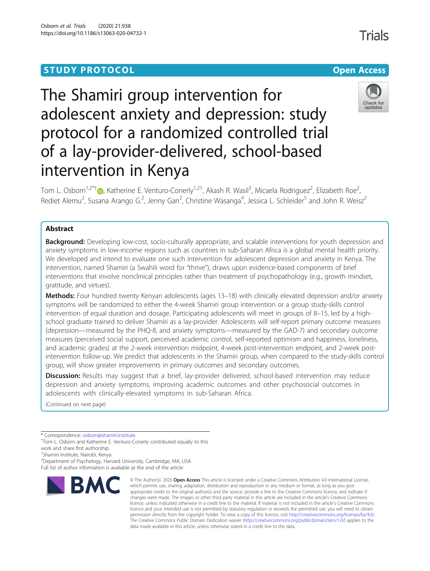# **STUDY PROTOCOL CONSUMING THE RESERVE ACCESS**

# The Shamiri group intervention for adolescent anxiety and depression: study protocol for a randomized controlled trial of a lay-provider-delivered, school-based intervention in Kenya

Tom L. Osborn<sup>1,2\*[†](http://orcid.org/0000-0002-9092-1035)</sup>®, Katherine E. Venturo-Conerly<sup>1,2†</sup>, Akash R. Wasil<sup>3</sup>, Micaela Rodriguez<sup>2</sup>, Elizabeth Roe<sup>2</sup> , Rediet Alemu<sup>2</sup>, Susana Arango G.<sup>2</sup>, Jenny Gan<sup>2</sup>, Christine Wasanga<sup>4</sup>, Jessica L. Schleider<sup>5</sup> and John R. Weisz<sup>2</sup>

# Abstract

**Background:** Developing low-cost, socio-culturally appropriate, and scalable interventions for youth depression and anxiety symptoms in low-income regions such as countries in sub-Saharan Africa is a global mental health priority. We developed and intend to evaluate one such intervention for adolescent depression and anxiety in Kenya. The intervention, named Shamiri (a Swahili word for "thrive"), draws upon evidence-based components of brief interventions that involve nonclinical principles rather than treatment of psychopathology (e.g., growth mindset, gratitude, and virtues).

Methods: Four hundred twenty Kenyan adolescents (ages 13-18) with clinically elevated depression and/or anxiety symptoms will be randomized to either the 4-week Shamiri group intervention or a group study-skills control intervention of equal duration and dosage. Participating adolescents will meet in groups of 8–15, led by a highschool graduate trained to deliver Shamiri as a lay-provider. Adolescents will self-report primary outcome measures (depression—measured by the PHQ-8, and anxiety symptoms—measured by the GAD-7) and secondary outcome measures (perceived social support, perceived academic control, self-reported optimism and happiness, loneliness, and academic grades) at the 2-week intervention midpoint, 4-week post-intervention endpoint, and 2-week postintervention follow-up. We predict that adolescents in the Shamiri group, when compared to the study-skills control group, will show greater improvements in primary outcomes and secondary outcomes.

Discussion: Results may suggest that a brief, lay-provider delivered, school-based intervention may reduce depression and anxiety symptoms, improving academic outcomes and other psychosocial outcomes in adolescents with clinically-elevated symptoms in sub-Saharan Africa.

(Continued on next page)

\* Correspondence: [osborn@shamiri.institute](mailto:osborn@shamiri.institute) †

<sup>+</sup>Tom L. Osborn and Katherine E. Venturo-Conerly contributed equally to this work and share first authorship.

2 Department of Psychology, Harvard University, Cambridge, MA, USA Full list of author information is available at the end of the article

# Osborn et al. Trials (2020) 21:938 https://doi.org/10.1186/s13063-020-04732-1



<sup>©</sup> The Author(s), 2020 **Open Access** This article is licensed under a Creative Commons Attribution 4.0 International License, which permits use, sharing, adaptation, distribution and reproduction in any medium or format, as long as you give appropriate credit to the original author(s) and the source, provide a link to the Creative Commons licence, and indicate if changes were made. The images or other third party material in this article are included in the article's Creative Commons licence, unless indicated otherwise in a credit line to the material. If material is not included in the article's Creative Commons licence and your intended use is not permitted by statutory regulation or exceeds the permitted use, you will need to obtain permission directly from the copyright holder. To view a copy of this licence, visit [http://creativecommons.org/licenses/by/4.0/.](http://creativecommons.org/licenses/by/4.0/) The Creative Commons Public Domain Dedication waiver [\(http://creativecommons.org/publicdomain/zero/1.0/](http://creativecommons.org/publicdomain/zero/1.0/)) applies to the data made available in this article, unless otherwise stated in a credit line to the data.





<sup>&</sup>lt;sup>1</sup>Shamiri Institute, Nairobi, Kenya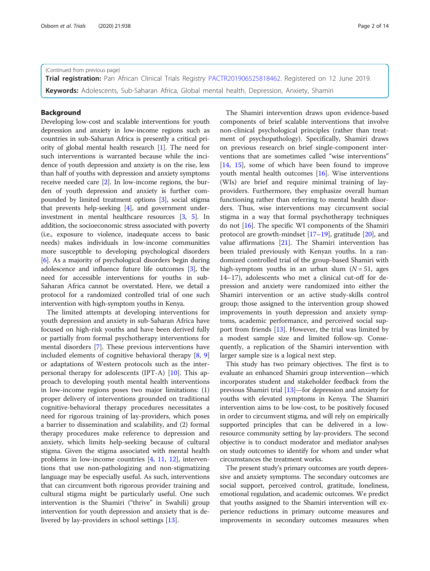(Continued from previous page)

Trial registration: Pan African Clinical Trials Registry [PACTR201906525818462.](https://pactr.samrc.ac.za/TrialDisplay.aspx?TrialID=8185) Registered on 12 June 2019. Keywords: Adolescents, Sub-Saharan Africa, Global mental health, Depression, Anxiety, Shamiri

# Background

Developing low-cost and scalable interventions for youth depression and anxiety in low-income regions such as countries in sub-Saharan Africa is presently a critical priority of global mental health research [\[1](#page-12-0)]. The need for such interventions is warranted because while the incidence of youth depression and anxiety is on the rise, less than half of youths with depression and anxiety symptoms receive needed care [\[2\]](#page-12-0). In low-income regions, the burden of youth depression and anxiety is further compounded by limited treatment options [\[3](#page-12-0)], social stigma that prevents help-seeking [\[4\]](#page-12-0), and government underinvestment in mental healthcare resources [[3](#page-12-0), [5](#page-12-0)]. In addition, the socioeconomic stress associated with poverty (i.e., exposure to violence, inadequate access to basic needs) makes individuals in low-income communities more susceptible to developing psychological disorders [[6\]](#page-12-0). As a majority of psychological disorders begin during adolescence and influence future life outcomes [\[3\]](#page-12-0), the need for accessible interventions for youths in sub-Saharan Africa cannot be overstated. Here, we detail a protocol for a randomized controlled trial of one such intervention with high-symptom youths in Kenya.

The limited attempts at developing interventions for youth depression and anxiety in sub-Saharan Africa have focused on high-risk youths and have been derived fully or partially from formal psychotherapy interventions for mental disorders [\[7](#page-12-0)]. These previous interventions have included elements of cognitive behavioral therapy [[8](#page-12-0), [9](#page-12-0)] or adaptations of Western protocols such as the interpersonal therapy for adolescents (IPT-A) [[10\]](#page-12-0). This approach to developing youth mental health interventions in low-income regions poses two major limitations: (1) proper delivery of interventions grounded on traditional cognitive-behavioral therapy procedures necessitates a need for rigorous training of lay-providers, which poses a barrier to dissemination and scalability, and (2) formal therapy procedures make reference to depression and anxiety, which limits help-seeking because of cultural stigma. Given the stigma associated with mental health problems in low-income countries [[4](#page-12-0), [11](#page-12-0), [12](#page-12-0)], interventions that use non-pathologizing and non-stigmatizing language may be especially useful. As such, interventions that can circumvent both rigorous provider training and cultural stigma might be particularly useful. One such intervention is the Shamiri ("thrive" in Swahili) group intervention for youth depression and anxiety that is delivered by lay-providers in school settings [[13](#page-12-0)].

The Shamiri intervention draws upon evidence-based components of brief scalable interventions that involve non-clinical psychological principles (rather than treatment of psychopathology). Specifically, Shamiri draws on previous research on brief single-component interventions that are sometimes called "wise interventions" [[14,](#page-12-0) [15\]](#page-12-0), some of which have been found to improve youth mental health outcomes [[16\]](#page-12-0). Wise interventions (WIs) are brief and require minimal training of layproviders. Furthermore, they emphasize overall human functioning rather than referring to mental health disorders. Thus, wise interventions may circumvent social stigma in a way that formal psychotherapy techniques do not [\[16](#page-12-0)]. The specific WI components of the Shamiri protocol are growth-mindset [[17](#page-12-0)–[19](#page-12-0)], gratitude [\[20](#page-12-0)], and value affirmations  $[21]$  $[21]$ . The Shamiri intervention has been trialed previously with Kenyan youths. In a randomized controlled trial of the group-based Shamiri with high-symptom youths in an urban slum  $(N = 51$ , ages 14–17), adolescents who met a clinical cut-off for depression and anxiety were randomized into either the Shamiri intervention or an active study-skills control group; those assigned to the intervention group showed improvements in youth depression and anxiety symptoms, academic performance, and perceived social support from friends [[13](#page-12-0)]. However, the trial was limited by a modest sample size and limited follow-up. Consequently, a replication of the Shamiri intervention with larger sample size is a logical next step.

This study has two primary objectives. The first is to evaluate an enhanced Shamiri group intervention—which incorporates student and stakeholder feedback from the previous Shamiri trial [\[13\]](#page-12-0)—for depression and anxiety for youths with elevated symptoms in Kenya. The Shamiri intervention aims to be low-cost, to be positively focused in order to circumvent stigma, and will rely on empirically supported principles that can be delivered in a lowresource community setting by lay-providers. The second objective is to conduct moderator and mediator analyses on study outcomes to identify for whom and under what circumstances the treatment works.

The present study's primary outcomes are youth depressive and anxiety symptoms. The secondary outcomes are social support, perceived control, gratitude, loneliness, emotional regulation, and academic outcomes. We predict that youths assigned to the Shamiri intervention will experience reductions in primary outcome measures and improvements in secondary outcomes measures when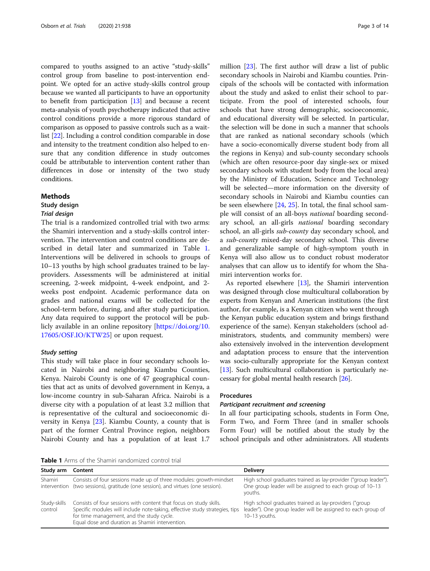compared to youths assigned to an active "study-skills" control group from baseline to post-intervention endpoint. We opted for an active study-skills control group because we wanted all participants to have an opportunity to benefit from participation [\[13\]](#page-12-0) and because a recent meta-analysis of youth psychotherapy indicated that active control conditions provide a more rigorous standard of comparison as opposed to passive controls such as a waitlist [\[22\]](#page-12-0). Including a control condition comparable in dose and intensity to the treatment condition also helped to ensure that any condition difference in study outcomes could be attributable to intervention content rather than differences in dose or intensity of the two study conditions.

# **Methods**

### Study design

#### Trial design

The trial is a randomized controlled trial with two arms: the Shamiri intervention and a study-skills control intervention. The intervention and control conditions are described in detail later and summarized in Table 1. Interventions will be delivered in schools to groups of 10–13 youths by high school graduates trained to be layproviders. Assessments will be administered at initial screening, 2-week midpoint, 4-week endpoint, and 2 weeks post endpoint. Academic performance data on grades and national exams will be collected for the school-term before, during, and after study participation. Any data required to support the protocol will be publicly available in an online repository [[https://doi.org/10.](https://doi.org/10.17605/OSF.IO/KTW25) [17605/OSF.IO/KTW25](https://doi.org/10.17605/OSF.IO/KTW25)] or upon request.

# Study setting

This study will take place in four secondary schools located in Nairobi and neighboring Kiambu Counties, Kenya. Nairobi County is one of 47 geographical counties that act as units of devolved government in Kenya, a low-income country in sub-Saharan Africa. Nairobi is a diverse city with a population of at least 3.2 million that is representative of the cultural and socioeconomic diversity in Kenya [[23\]](#page-12-0). Kiambu County, a county that is part of the former Central Province region, neighbors Nairobi County and has a population of at least 1.7 million [\[23\]](#page-12-0). The first author will draw a list of public secondary schools in Nairobi and Kiambu counties. Principals of the schools will be contacted with information about the study and asked to enlist their school to participate. From the pool of interested schools, four schools that have strong demographic, socioeconomic, and educational diversity will be selected. In particular, the selection will be done in such a manner that schools that are ranked as national secondary schools (which have a socio-economically diverse student body from all the regions in Kenya) and sub-county secondary schools (which are often resource-poor day single-sex or mixed secondary schools with student body from the local area) by the Ministry of Education, Science and Technology will be selected—more information on the diversity of secondary schools in Nairobi and Kiambu counties can be seen elsewhere [\[24](#page-12-0), [25](#page-12-0)]. In total, the final school sample will consist of an all-boys national boarding secondary school, an all-girls *national* boarding secondary school, an all-girls sub-county day secondary school, and a sub-county mixed-day secondary school. This diverse and generalizable sample of high-symptom youth in Kenya will also allow us to conduct robust moderator analyses that can allow us to identify for whom the Shamiri intervention works for.

As reported elsewhere [\[13](#page-12-0)], the Shamiri intervention was designed through close multicultural collaboration by experts from Kenyan and American institutions (the first author, for example, is a Kenyan citizen who went through the Kenyan public education system and brings firsthand experience of the same). Kenyan stakeholders (school administrators, students, and community members) were also extensively involved in the intervention development and adaptation process to ensure that the intervention was socio-culturally appropriate for the Kenyan context [[13](#page-12-0)]. Such multicultural collaboration is particularly necessary for global mental health research [[26](#page-12-0)].

# Procedures

#### Participant recruitment and screening

In all four participating schools, students in Form One, Form Two, and Form Three (and in smaller schools Form Four) will be notified about the study by the school principals and other administrators. All students

|  |  |  |  |  | <b>Table 1</b> Arms of the Shamiri randomized control trial |  |  |
|--|--|--|--|--|-------------------------------------------------------------|--|--|
|--|--|--|--|--|-------------------------------------------------------------|--|--|

| Study arm               | Content                                                                                                                                                                                                                                            | <b>Delivery</b>                                                                                                                           |
|-------------------------|----------------------------------------------------------------------------------------------------------------------------------------------------------------------------------------------------------------------------------------------------|-------------------------------------------------------------------------------------------------------------------------------------------|
| Shamiri<br>intervention | Consists of four sessions made up of three modules: growth-mindset<br>(two sessions), gratitude (one session), and virtues (one session).                                                                                                          | High school graduates trained as lay-provider ("group leader").<br>One group leader will be assigned to each group of 10-13<br>youths.    |
| Study-skills<br>control | Consists of four sessions with content that focus on study skills.<br>Specific modules will include note-taking, effective study strategies, tips<br>for time management, and the study cycle.<br>Equal dose and duration as Shamiri intervention. | High school graduates trained as lay-providers ("group<br>leader"). One group leader will be assigned to each group of<br>$10-13$ youths. |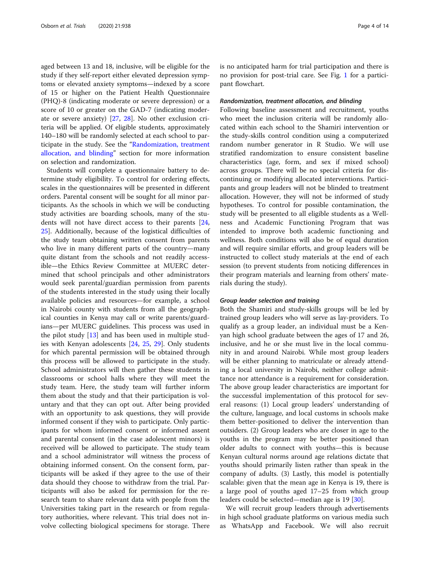aged between 13 and 18, inclusive, will be eligible for the study if they self-report either elevated depression symptoms or elevated anxiety symptoms—indexed by a score of 15 or higher on the Patient Health Questionnaire (PHQ)-8 (indicating moderate or severe depression) or a score of 10 or greater on the GAD-7 (indicating moderate or severe anxiety) [\[27](#page-12-0), [28](#page-12-0)]. No other exclusion criteria will be applied. Of eligible students, approximately 140–180 will be randomly selected at each school to participate in the study. See the "Randomization, treatment allocation, and blinding" section for more information on selection and randomization.

Students will complete a questionnaire battery to determine study eligibility. To control for ordering effects, scales in the questionnaires will be presented in different orders. Parental consent will be sought for all minor participants. As the schools in which we will be conducting study activities are boarding schools, many of the students will not have direct access to their parents [[24](#page-12-0), [25\]](#page-12-0). Additionally, because of the logistical difficulties of the study team obtaining written consent from parents who live in many different parts of the country—many quite distant from the schools and not readily accessible—the Ethics Review Committee at MUERC determined that school principals and other administrators would seek parental/guardian permission from parents of the students interested in the study using their locally available policies and resources—for example, a school in Nairobi county with students from all the geographical counties in Kenya may call or write parents/guardians—per MUERC guidelines. This process was used in the pilot study [[13](#page-12-0)] and has been used in multiple studies with Kenyan adolescents [\[24](#page-12-0), [25](#page-12-0), [29](#page-12-0)]. Only students for which parental permission will be obtained through this process will be allowed to participate in the study. School administrators will then gather these students in classrooms or school halls where they will meet the study team. Here, the study team will further inform them about the study and that their participation is voluntary and that they can opt out. After being provided with an opportunity to ask questions, they will provide informed consent if they wish to participate. Only participants for whom informed consent or informed assent and parental consent (in the case adolescent minors) is received will be allowed to participate. The study team and a school administrator will witness the process of obtaining informed consent. On the consent form, participants will be asked if they agree to the use of their data should they choose to withdraw from the trial. Participants will also be asked for permission for the research team to share relevant data with people from the Universities taking part in the research or from regulatory authorities, where relevant. This trial does not involve collecting biological specimens for storage. There is no anticipated harm for trial participation and there is no provision for post-trial care. See Fig. [1](#page-4-0) for a participant flowchart.

#### Randomization, treatment allocation, and blinding

Following baseline assessment and recruitment, youths who meet the inclusion criteria will be randomly allocated within each school to the Shamiri intervention or the study-skills control condition using a computerized random number generator in R Studio. We will use stratified randomization to ensure consistent baseline characteristics (age, form, and sex if mixed school) across groups. There will be no special criteria for discontinuing or modifying allocated interventions. Participants and group leaders will not be blinded to treatment allocation. However, they will not be informed of study hypotheses. To control for possible contamination, the study will be presented to all eligible students as a Wellness and Academic Functioning Program that was intended to improve both academic functioning and wellness. Both conditions will also be of equal duration and will require similar efforts, and group leaders will be instructed to collect study materials at the end of each session (to prevent students from noticing differences in their program materials and learning from others' materials during the study).

#### Group leader selection and training

Both the Shamiri and study-skills groups will be led by trained group leaders who will serve as lay-providers. To qualify as a group leader, an individual must be a Kenyan high school graduate between the ages of 17 and 26, inclusive, and he or she must live in the local community in and around Nairobi. While most group leaders will be either planning to matriculate or already attending a local university in Nairobi, neither college admittance nor attendance is a requirement for consideration. The above group leader characteristics are important for the successful implementation of this protocol for several reasons: (1) Local group leaders' understanding of the culture, language, and local customs in schools make them better-positioned to deliver the intervention than outsiders. (2) Group leaders who are closer in age to the youths in the program may be better positioned than older adults to connect with youths—this is because Kenyan cultural norms around age relations dictate that youths should primarily listen rather than speak in the company of adults. (3) Lastly, this model is potentially scalable: given that the mean age in Kenya is 19, there is a large pool of youths aged 17–25 from which group leaders could be selected—median age is 19 [\[30\]](#page-12-0).

We will recruit group leaders through advertisements in high school graduate platforms on various media such as WhatsApp and Facebook. We will also recruit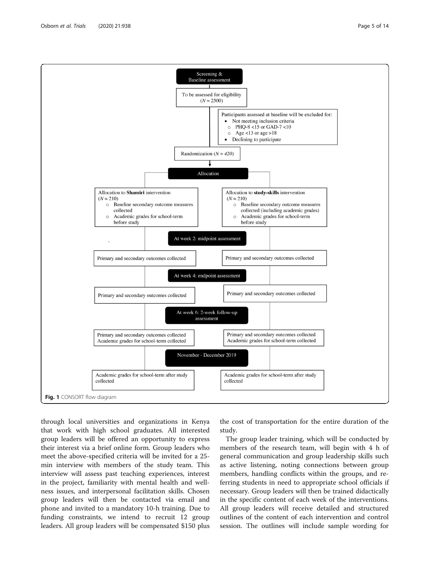through local universities and organizations in Kenya that work with high school graduates. All interested group leaders will be offered an opportunity to express their interest via a brief online form. Group leaders who meet the above-specified criteria will be invited for a 25 min interview with members of the study team. This interview will assess past teaching experiences, interest in the project, familiarity with mental health and wellness issues, and interpersonal facilitation skills. Chosen group leaders will then be contacted via email and phone and invited to a mandatory 10-h training. Due to funding constraints, we intend to recruit 12 group leaders. All group leaders will be compensated \$150 plus

the cost of transportation for the entire duration of the study.

The group leader training, which will be conducted by members of the research team, will begin with 4 h of general communication and group leadership skills such as active listening, noting connections between group members, handling conflicts within the groups, and referring students in need to appropriate school officials if necessary. Group leaders will then be trained didactically in the specific content of each week of the interventions. All group leaders will receive detailed and structured outlines of the content of each intervention and control session. The outlines will include sample wording for

<span id="page-4-0"></span>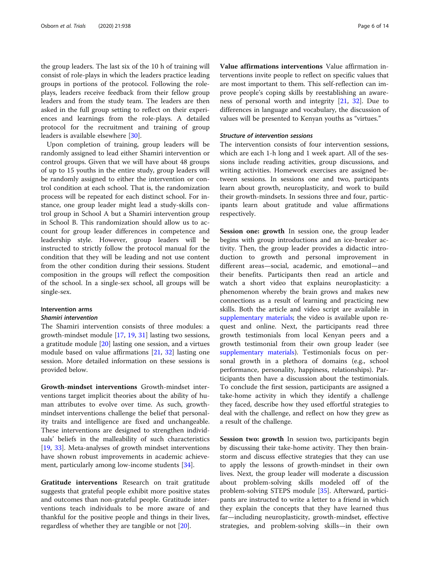the group leaders. The last six of the 10 h of training will consist of role-plays in which the leaders practice leading groups in portions of the protocol. Following the roleplays, leaders receive feedback from their fellow group leaders and from the study team. The leaders are then asked in the full group setting to reflect on their experiences and learnings from the role-plays. A detailed protocol for the recruitment and training of group leaders is available elsewhere [\[30\]](#page-12-0).

Upon completion of training, group leaders will be randomly assigned to lead either Shamiri intervention or control groups. Given that we will have about 48 groups of up to 15 youths in the entire study, group leaders will be randomly assigned to either the intervention or control condition at each school. That is, the randomization process will be repeated for each distinct school. For instance, one group leader might lead a study-skills control group in School A but a Shamiri intervention group in School B. This randomization should allow us to account for group leader differences in competence and leadership style. However, group leaders will be instructed to strictly follow the protocol manual for the condition that they will be leading and not use content from the other condition during their sessions. Student composition in the groups will reflect the composition of the school. In a single-sex school, all groups will be single-sex.

# Intervention arms

# Shamiri intervention

The Shamiri intervention consists of three modules: a growth-mindset module [[17,](#page-12-0) [19,](#page-12-0) [31\]](#page-12-0) lasting two sessions, a gratitude module [\[20](#page-12-0)] lasting one session, and a virtues module based on value affirmations [[21,](#page-12-0) [32](#page-12-0)] lasting one session. More detailed information on these sessions is provided below.

Growth-mindset interventions Growth-mindset interventions target implicit theories about the ability of human attributes to evolve over time. As such, growthmindset interventions challenge the belief that personality traits and intelligence are fixed and unchangeable. These interventions are designed to strengthen individuals' beliefs in the malleability of such characteristics [[19,](#page-12-0) [33](#page-12-0)]. Meta-analyses of growth mindset interventions have shown robust improvements in academic achievement, particularly among low-income students [\[34](#page-12-0)].

Gratitude interventions Research on trait gratitude suggests that grateful people exhibit more positive states and outcomes than non-grateful people. Gratitude interventions teach individuals to be more aware of and thankful for the positive people and things in their lives, regardless of whether they are tangible or not [[20](#page-12-0)].

Value affirmations interventions Value affirmation interventions invite people to reflect on specific values that are most important to them. This self-reflection can improve people's coping skills by reestablishing an awareness of personal worth and integrity [\[21](#page-12-0), [32](#page-12-0)]. Due to differences in language and vocabulary, the discussion of values will be presented to Kenyan youths as "virtues."

### Structure of intervention sessions

The intervention consists of four intervention sessions, which are each 1-h long and 1 week apart. All of the sessions include reading activities, group discussions, and writing activities. Homework exercises are assigned between sessions. In sessions one and two, participants learn about growth, neuroplasticity, and work to build their growth-mindsets. In sessions three and four, participants learn about gratitude and value affirmations respectively.

Session one: growth In session one, the group leader begins with group introductions and an ice-breaker activity. Then, the group leader provides a didactic introduction to growth and personal improvement in different areas—social, academic, and emotional—and their benefits. Participants then read an article and watch a short video that explains neuroplasticity: a phenomenon whereby the brain grows and makes new connections as a result of learning and practicing new skills. Both the article and video script are available in [supplementary materials;](#page-11-0) the video is available upon request and online. Next, the participants read three growth testimonials from local Kenyan peers and a growth testimonial from their own group leader (see [supplementary materials\)](#page-11-0). Testimonials focus on personal growth in a plethora of domains (e.g., school performance, personality, happiness, relationships). Participants then have a discussion about the testimonials. To conclude the first session, participants are assigned a take-home activity in which they identify a challenge they faced, describe how they used effortful strategies to deal with the challenge, and reflect on how they grew as a result of the challenge.

Session two: growth In session two, participants begin by discussing their take-home activity. They then brainstorm and discuss effective strategies that they can use to apply the lessons of growth-mindset in their own lives. Next, the group leader will moderate a discussion about problem-solving skills modeled off of the problem-solving STEPS module [\[35](#page-12-0)]. Afterward, participants are instructed to write a letter to a friend in which they explain the concepts that they have learned thus far—including neuroplasticity, growth-mindset, effective strategies, and problem-solving skills—in their own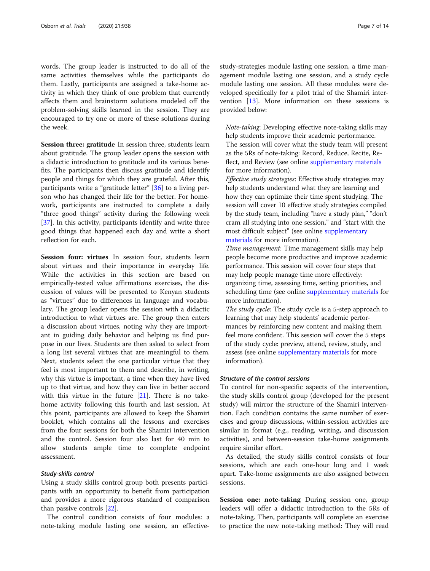words. The group leader is instructed to do all of the same activities themselves while the participants do them. Lastly, participants are assigned a take-home activity in which they think of one problem that currently affects them and brainstorm solutions modeled off the problem-solving skills learned in the session. They are encouraged to try one or more of these solutions during the week.

Session three: gratitude In session three, students learn about gratitude. The group leader opens the session with a didactic introduction to gratitude and its various benefits. The participants then discuss gratitude and identify people and things for which they are grateful. After this, participants write a "gratitude letter" [\[36](#page-12-0)] to a living person who has changed their life for the better. For homework, participants are instructed to complete a daily "three good things" activity during the following week [[37\]](#page-12-0). In this activity, participants identify and write three good things that happened each day and write a short reflection for each.

Session four: virtues In session four, students learn about virtues and their importance in everyday life. While the activities in this section are based on empirically-tested value affirmations exercises, the discussion of values will be presented to Kenyan students as "virtues" due to differences in language and vocabulary. The group leader opens the session with a didactic introduction to what virtues are. The group then enters a discussion about virtues, noting why they are important in guiding daily behavior and helping us find purpose in our lives. Students are then asked to select from a long list several virtues that are meaningful to them. Next, students select the one particular virtue that they feel is most important to them and describe, in writing, why this virtue is important, a time when they have lived up to that virtue, and how they can live in better accord with this virtue in the future  $[21]$  $[21]$ . There is no takehome activity following this fourth and last session. At this point, participants are allowed to keep the Shamiri booklet, which contains all the lessons and exercises from the four sessions for both the Shamiri intervention and the control. Session four also last for 40 min to allow students ample time to complete endpoint assessment.

#### Study-skills control

Using a study skills control group both presents participants with an opportunity to benefit from participation and provides a more rigorous standard of comparison than passive controls [[22\]](#page-12-0).

The control condition consists of four modules: a note-taking module lasting one session, an effectivestudy-strategies module lasting one session, a time management module lasting one session, and a study cycle module lasting one session. All these modules were developed specifically for a pilot trial of the Shamiri intervention [[13\]](#page-12-0). More information on these sessions is provided below:

Note-taking: Developing effective note-taking skills may help students improve their academic performance. The session will cover what the study team will present as the 5Rs of note-taking: Record, Reduce, Recite, Reflect, and Review (see online [supplementary materials](#page-11-0) for more information).

Effective study strategies: Effective study strategies may help students understand what they are learning and how they can optimize their time spent studying. The session will cover 10 effective study strategies compiled by the study team, including "have a study plan," "don't cram all studying into one session," and "start with the most difficult subject" (see online [supplementary](#page-11-0) [materials](#page-11-0) for more information).

Time management: Time management skills may help people become more productive and improve academic performance. This session will cover four steps that may help people manage time more effectively: organizing time, assessing time, setting priorities, and scheduling time (see online [supplementary materials](#page-11-0) for more information).

The study cycle: The study cycle is a 5-step approach to learning that may help students' academic performances by reinforcing new content and making them feel more confident. This session will cover the 5 steps of the study cycle: preview, attend, review, study, and assess (see online [supplementary materials](#page-11-0) for more information).

### Structure of the control sessions

To control for non-specific aspects of the intervention, the study skills control group (developed for the present study) will mirror the structure of the Shamiri intervention. Each condition contains the same number of exercises and group discussions, within-session activities are similar in format (e.g., reading, writing, and discussion activities), and between-session take-home assignments require similar effort.

As detailed, the study skills control consists of four sessions, which are each one-hour long and 1 week apart. Take-home assignments are also assigned between sessions.

Session one: note-taking During session one, group leaders will offer a didactic introduction to the 5Rs of note-taking. Then, participants will complete an exercise to practice the new note-taking method: They will read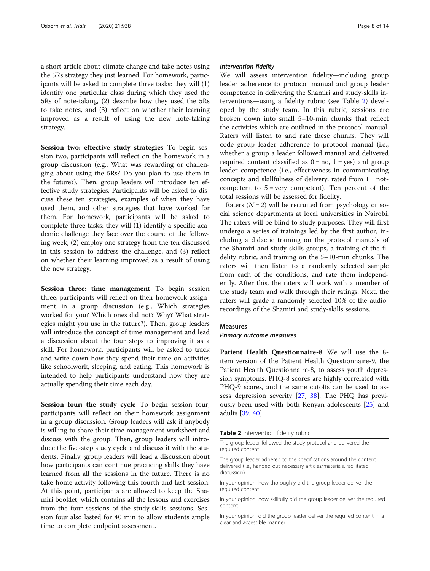a short article about climate change and take notes using the 5Rs strategy they just learned. For homework, participants will be asked to complete three tasks: they will (1) identify one particular class during which they used the 5Rs of note-taking, (2) describe how they used the 5Rs to take notes, and (3) reflect on whether their learning improved as a result of using the new note-taking strategy.

Session two: effective study strategies To begin session two, participants will reflect on the homework in a group discussion (e.g., What was rewarding or challenging about using the 5Rs? Do you plan to use them in the future?). Then, group leaders will introduce ten effective study strategies. Participants will be asked to discuss these ten strategies, examples of when they have used them, and other strategies that have worked for them. For homework, participants will be asked to complete three tasks: they will (1) identify a specific academic challenge they face over the course of the following week, (2) employ one strategy from the ten discussed in this session to address the challenge, and (3) reflect on whether their learning improved as a result of using the new strategy.

Session three: time management To begin session three, participants will reflect on their homework assignment in a group discussion (e.g., Which strategies worked for you? Which ones did not? Why? What strategies might you use in the future?). Then, group leaders will introduce the concept of time management and lead a discussion about the four steps to improving it as a skill. For homework, participants will be asked to track and write down how they spend their time on activities like schoolwork, sleeping, and eating. This homework is intended to help participants understand how they are actually spending their time each day.

Session four: the study cycle To begin session four, participants will reflect on their homework assignment in a group discussion. Group leaders will ask if anybody is willing to share their time management worksheet and discuss with the group. Then, group leaders will introduce the five-step study cycle and discuss it with the students. Finally, group leaders will lead a discussion about how participants can continue practicing skills they have learned from all the sessions in the future. There is no take-home activity following this fourth and last session. At this point, participants are allowed to keep the Shamiri booklet, which contains all the lessons and exercises from the four sessions of the study-skills sessions. Session four also lasted for 40 min to allow students ample time to complete endpoint assessment.

#### Intervention fidelity

We will assess intervention fidelity—including group leader adherence to protocol manual and group leader competence in delivering the Shamiri and study-skills interventions—using a fidelity rubric (see Table 2) developed by the study team. In this rubric, sessions are broken down into small 5–10-min chunks that reflect the activities which are outlined in the protocol manual. Raters will listen to and rate these chunks. They will code group leader adherence to protocol manual (i.e., whether a group a leader followed manual and delivered required content classified as  $0 = no$ ,  $1 = yes$ ) and group leader competence (i.e., effectiveness in communicating concepts and skillfulness of delivery, rated from 1 = notcompetent to  $5 = \text{very competent}$ . Ten percent of the total sessions will be assessed for fidelity.

Raters  $(N = 2)$  will be recruited from psychology or social science departments at local universities in Nairobi. The raters will be blind to study purposes. They will first undergo a series of trainings led by the first author, including a didactic training on the protocol manuals of the Shamiri and study-skills groups, a training of the fidelity rubric, and training on the 5–10-min chunks. The raters will then listen to a randomly selected sample from each of the conditions, and rate them independently. After this, the raters will work with a member of the study team and walk through their ratings. Next, the raters will grade a randomly selected 10% of the audiorecordings of the Shamiri and study-skills sessions.

#### Measures

#### Primary outcome measures

Patient Health Questionnaire-8 We will use the 8 item version of the Patient Health Questionnaire-9, the Patient Health Questionnaire-8, to assess youth depression symptoms. PHQ-8 scores are highly correlated with PHQ-9 scores, and the same cutoffs can be used to assess depression severity [[27,](#page-12-0) [38](#page-12-0)]. The PHQ has previously been used with both Kenyan adolescents [[25\]](#page-12-0) and adults [\[39](#page-12-0), [40\]](#page-12-0).

#### Table 2 Intervention fidelity rubric

The group leader followed the study protocol and delivered the required content

The group leader adhered to the specifications around the content delivered (i.e., handed out necessary articles/materials, facilitated discussion)

In your opinion, how thoroughly did the group leader deliver the required content

In your opinion, how skillfully did the group leader deliver the required content

In your opinion, did the group leader deliver the required content in a clear and accessible manner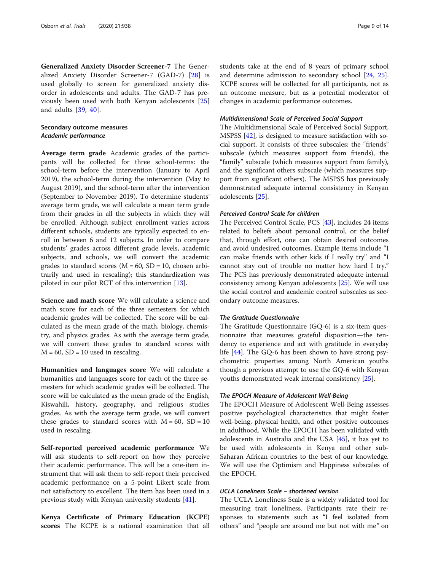Generalized Anxiety Disorder Screener-7 The Generalized Anxiety Disorder Screener-7 (GAD-7) [[28\]](#page-12-0) is used globally to screen for generalized anxiety disorder in adolescents and adults. The GAD-7 has previously been used with both Kenyan adolescents [\[25](#page-12-0)] and adults [[39](#page-12-0), [40](#page-12-0)].

# Secondary outcome measures Academic performance

Average term grade Academic grades of the participants will be collected for three school-terms: the school-term before the intervention (January to April 2019), the school-term during the intervention (May to August 2019), and the school-term after the intervention (September to November 2019). To determine students' average term grade, we will calculate a mean term grade from their grades in all the subjects in which they will be enrolled. Although subject enrollment varies across different schools, students are typically expected to enroll in between 6 and 12 subjects. In order to compare students' grades across different grade levels, academic subjects, and schools, we will convert the academic grades to standard scores ( $M = 60$ ,  $SD = 10$ , chosen arbitrarily and used in rescaling); this standardization was piloted in our pilot RCT of this intervention [\[13\]](#page-12-0).

Science and math score We will calculate a science and math score for each of the three semesters for which academic grades will be collected. The score will be calculated as the mean grade of the math, biology, chemistry, and physics grades. As with the average term grade, we will convert these grades to standard scores with  $M = 60$ ,  $SD = 10$  used in rescaling.

Humanities and languages score We will calculate a humanities and languages score for each of the three semesters for which academic grades will be collected. The score will be calculated as the mean grade of the English, Kiswahili, history, geography, and religious studies grades. As with the average term grade, we will convert these grades to standard scores with  $M = 60$ ,  $SD = 10$ used in rescaling.

Self-reported perceived academic performance We will ask students to self-report on how they perceive their academic performance. This will be a one-item instrument that will ask them to self-report their perceived academic performance on a 5-point Likert scale from not satisfactory to excellent. The item has been used in a previous study with Kenyan university students [\[41](#page-12-0)].

Kenya Certificate of Primary Education (KCPE) scores The KCPE is a national examination that all students take at the end of 8 years of primary school and determine admission to secondary school [\[24,](#page-12-0) [25](#page-12-0)]. KCPE scores will be collected for all participants, not as an outcome measure, but as a potential moderator of changes in academic performance outcomes.

#### Multidimensional Scale of Perceived Social Support

The Multidimensional Scale of Perceived Social Support, MSPSS [[42\]](#page-12-0), is designed to measure satisfaction with social support. It consists of three subscales: the "friends" subscale (which measures support from friends), the "family" subscale (which measures support from family), and the significant others subscale (which measures support from significant others). The MSPSS has previously demonstrated adequate internal consistency in Kenyan adolescents [\[25](#page-12-0)].

# Perceived Control Scale for children

The Perceived Control Scale, PCS [\[43](#page-12-0)], includes 24 items related to beliefs about personal control, or the belief that, through effort, one can obtain desired outcomes and avoid undesired outcomes. Example items include "I can make friends with other kids if I really try" and "I cannot stay out of trouble no matter how hard I try." The PCS has previously demonstrated adequate internal consistency among Kenyan adolescents [[25\]](#page-12-0). We will use the social control and academic control subscales as secondary outcome measures.

#### The Gratitude Questionnaire

The Gratitude Questionnaire (GQ-6) is a six-item questionnaire that measures grateful disposition—the tendency to experience and act with gratitude in everyday life [[44\]](#page-13-0). The GQ-6 has been shown to have strong psychometric properties among North American youths though a previous attempt to use the GQ-6 with Kenyan youths demonstrated weak internal consistency [[25\]](#page-12-0).

# The EPOCH Measure of Adolescent Well-Being

The EPOCH Measure of Adolescent Well-Being assesses positive psychological characteristics that might foster well-being, physical health, and other positive outcomes in adulthood. While the EPOCH has been validated with adolescents in Australia and the USA [[45\]](#page-13-0), it has yet to be used with adolescents in Kenya and other sub-Saharan African countries to the best of our knowledge. We will use the Optimism and Happiness subscales of the EPOCH.

# UCLA Loneliness Scale – shortened version

The UCLA Loneliness Scale is a widely validated tool for measuring trait loneliness. Participants rate their responses to statements such as "I feel isolated from others" and "people are around me but not with me" on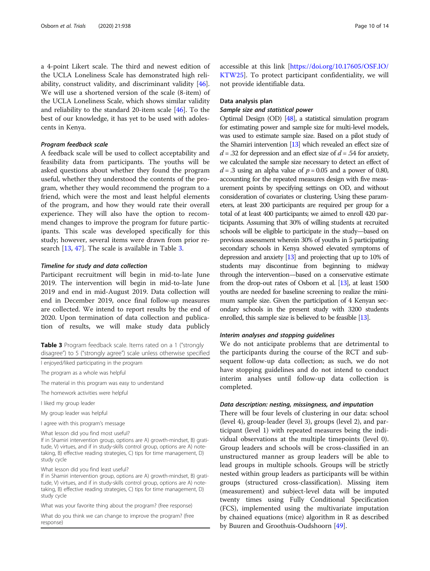a 4-point Likert scale. The third and newest edition of the UCLA Loneliness Scale has demonstrated high reliability, construct validity, and discriminant validity [\[46](#page-13-0)]. We will use a shortened version of the scale (8-item) of the UCLA Loneliness Scale, which shows similar validity and reliability to the standard 20-item scale [\[46\]](#page-13-0). To the best of our knowledge, it has yet to be used with adolescents in Kenya.

# Program feedback scale

A feedback scale will be used to collect acceptability and feasibility data from participants. The youths will be asked questions about whether they found the program useful, whether they understood the contents of the program, whether they would recommend the program to a friend, which were the most and least helpful elements of the program, and how they would rate their overall experience. They will also have the option to recommend changes to improve the program for future participants. This scale was developed specifically for this study; however, several items were drawn from prior research [[13,](#page-12-0) [47](#page-13-0)]. The scale is available in Table 3.

#### Timeline for study and data collection

Participant recruitment will begin in mid-to-late June 2019. The intervention will begin in mid-to-late June 2019 and end in mid-August 2019. Data collection will end in December 2019, once final follow-up measures are collected. We intend to report results by the end of 2020. Upon termination of data collection and publication of results, we will make study data publicly

Table 3 Program feedback scale. Items rated on a 1 ("strongly disagree") to 5 ("strongly agree") scale unless otherwise specified

I enjoyed/liked participating in the program

The program as a whole was helpful

The material in this program was easy to understand

The homework activities were helpful

I liked my group leader

My group leader was helpful

I agree with this program's message

What lesson did you find most useful?

If in Shamiri intervention group, options are A) growth-mindset, B) gratitude, V) virtues, and if in study-skills control group, options are A) notetaking, B) effective reading strategies, C) tips for time management, D) study cycle

What lesson did you find least useful?

If in Shamiri intervention group, options are A) growth-mindset, B) gratitude, V) virtues, and if in study-skills control group, options are A) notetaking, B) effective reading strategies, C) tips for time management, D) study cycle

What was your favorite thing about the program? (free response)

What do you think we can change to improve the program? (free response)

accessible at this link [[https://doi.org/10.17605/OSF.IO/](https://doi.org/10.17605/OSF.IO/KTW25) [KTW25\]](https://doi.org/10.17605/OSF.IO/KTW25). To protect participant confidentiality, we will not provide identifiable data.

# Data analysis plan

## Sample size and statistical power

Optimal Design (OD) [\[48](#page-13-0)], a statistical simulation program for estimating power and sample size for multi-level models, was used to estimate sample size. Based on a pilot study of the Shamiri intervention [\[13](#page-12-0)] which revealed an effect size of  $d = 0.32$  for depression and an effect size of  $d = 0.54$  for anxiety, we calculated the sample size necessary to detect an effect of  $d = 0.3$  using an alpha value of  $p = 0.05$  and a power of 0.80, accounting for the repeated measures design with five measurement points by specifying settings on OD, and without consideration of covariates or clustering. Using these parameters, at least 200 participants are required per group for a total of at least 400 participants; we aimed to enroll 420 participants. Assuming that 30% of willing students at recruited schools will be eligible to participate in the study—based on previous assessment wherein 30% of youths in 5 participating secondary schools in Kenya showed elevated symptoms of depression and anxiety [\[13](#page-12-0)] and projecting that up to 10% of students may discontinue from beginning to midway through the intervention—based on a conservative estimate from the drop-out rates of Osborn et al. [\[13](#page-12-0)], at least 1500 youths are needed for baseline screening to realize the minimum sample size. Given the participation of 4 Kenyan secondary schools in the present study with 3200 students enrolled, this sample size is believed to be feasible [\[13](#page-12-0)].

#### Interim analyses and stopping guidelines

We do not anticipate problems that are detrimental to the participants during the course of the RCT and subsequent follow-up data collection; as such, we do not have stopping guidelines and do not intend to conduct interim analyses until follow-up data collection is completed.

# Data description: nesting, missingness, and imputation

There will be four levels of clustering in our data: school (level 4), group-leader (level 3), groups (level 2), and participant (level 1) with repeated measures being the individual observations at the multiple timepoints (level 0). Group leaders and schools will be cross-classified in an unstructured manner as group leaders will be able to lead groups in multiple schools. Groups will be strictly nested within group leaders as participants will be within groups (structured cross-classification). Missing item (measurement) and subject-level data will be imputed twenty times using Fully Conditional Specification (FCS), implemented using the multivariate imputation by chained equations (mice) algorithm in R as described by Buuren and Groothuis-Oudshoorn [[49](#page-13-0)].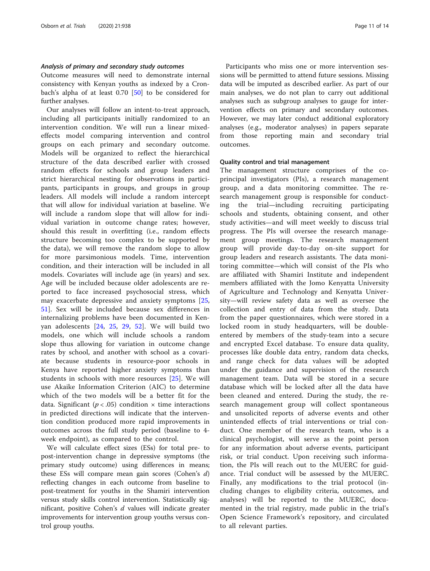# Analysis of primary and secondary study outcomes

Outcome measures will need to demonstrate internal consistency with Kenyan youths as indexed by a Cronbach's alpha of at least 0.70 [\[50](#page-13-0)] to be considered for further analyses.

Our analyses will follow an intent-to-treat approach, including all participants initially randomized to an intervention condition. We will run a linear mixedeffects model comparing intervention and control groups on each primary and secondary outcome. Models will be organized to reflect the hierarchical structure of the data described earlier with crossed random effects for schools and group leaders and strict hierarchical nesting for observations in participants, participants in groups, and groups in group leaders. All models will include a random intercept that will allow for individual variation at baseline. We will include a random slope that will allow for individual variation in outcome change rates; however, should this result in overfitting (i.e., random effects structure becoming too complex to be supported by the data), we will remove the random slope to allow for more parsimonious models. Time, intervention condition, and their interaction will be included in all models. Covariates will include age (in years) and sex. Age will be included because older adolescents are reported to face increased psychosocial stress, which may exacerbate depressive and anxiety symptoms [\[25](#page-12-0), [51\]](#page-13-0). Sex will be included because sex differences in internalizing problems have been documented in Kenyan adolescents [\[24](#page-12-0), [25](#page-12-0), [29,](#page-12-0) [52\]](#page-13-0). We will build two models, one which will include schools a random slope thus allowing for variation in outcome change rates by school, and another with school as a covariate because students in resource-poor schools in Kenya have reported higher anxiety symptoms than students in schools with more resources [[25\]](#page-12-0). We will use Akaike Information Criterion (AIC) to determine which of the two models will be a better fit for the data. Significant ( $p < .05$ ) condition  $\times$  time interactions in predicted directions will indicate that the intervention condition produced more rapid improvements in outcomes across the full study period (baseline to 4 week endpoint), as compared to the control.

We will calculate effect sizes (ESs) for total pre- to post-intervention change in depressive symptoms (the primary study outcome) using differences in means; these ESs will compare mean gain scores (Cohen's d) reflecting changes in each outcome from baseline to post-treatment for youths in the Shamiri intervention versus study skills control intervention. Statistically significant, positive Cohen's  $d$  values will indicate greater improvements for intervention group youths versus control group youths.

Participants who miss one or more intervention sessions will be permitted to attend future sessions. Missing data will be imputed as described earlier. As part of our main analyses, we do not plan to carry out additional analyses such as subgroup analyses to gauge for intervention effects on primary and secondary outcomes. However, we may later conduct additional exploratory analyses (e.g., moderator analyses) in papers separate from those reporting main and secondary trial outcomes.

### Quality control and trial management

The management structure comprises of the coprincipal investigators (PIs), a research management group, and a data monitoring committee. The research management group is responsible for conducting the trial—including recruiting participating schools and students, obtaining consent, and other study activities—and will meet weekly to discuss trial progress. The PIs will oversee the research management group meetings. The research management group will provide day-to-day on-site support for group leaders and research assistants. The data monitoring committee—which will consist of the PIs who are affiliated with Shamiri Institute and independent members affiliated with the Jomo Kenyatta University of Agriculture and Technology and Kenyatta University—will review safety data as well as oversee the collection and entry of data from the study. Data from the paper questionnaires, which were stored in a locked room in study headquarters, will be doubleentered by members of the study-team into a secure and encrypted Excel database. To ensure data quality, processes like double data entry, random data checks, and range check for data values will be adopted under the guidance and supervision of the research management team. Data will be stored in a secure database which will be locked after all the data have been cleaned and entered. During the study, the research management group will collect spontaneous and unsolicited reports of adverse events and other unintended effects of trial interventions or trial conduct. One member of the research team, who is a clinical psychologist, will serve as the point person for any information about adverse events, participant risk, or trial conduct. Upon receiving such information, the PIs will reach out to the MUERC for guidance. Trial conduct will be assessed by the MUERC. Finally, any modifications to the trial protocol (including changes to eligibility criteria, outcomes, and analyses) will be reported to the MUERC, documented in the trial registry, made public in the trial's Open Science Framework's repository, and circulated to all relevant parties.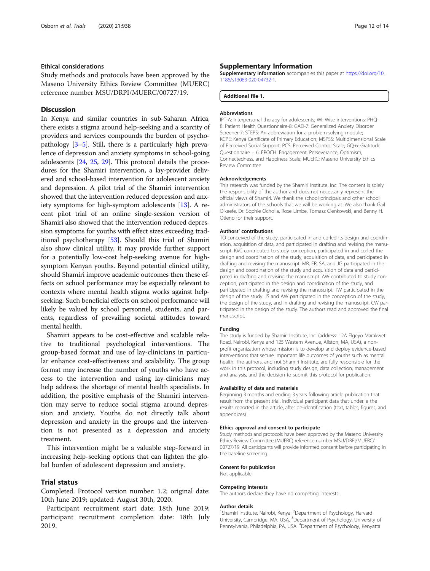# <span id="page-11-0"></span>Ethical considerations

Study methods and protocols have been approved by the Maseno University Ethics Review Committee (MUERC) reference number MSU/DRPI/MUERC/00727/19.

# **Discussion**

In Kenya and similar countries in sub-Saharan Africa, there exists a stigma around help-seeking and a scarcity of providers and services compounds the burden of psychopathology [\[3](#page-12-0)–[5\]](#page-12-0). Still, there is a particularly high prevalence of depression and anxiety symptoms in school-going adolescents [\[24,](#page-12-0) [25,](#page-12-0) [29](#page-12-0)]. This protocol details the procedures for the Shamiri intervention, a lay-provider delivered and school-based intervention for adolescent anxiety and depression. A pilot trial of the Shamiri intervention showed that the intervention reduced depression and anxiety symptoms for high-symptom adolescents [[13](#page-12-0)]. A recent pilot trial of an online single-session version of Shamiri also showed that the intervention reduced depression symptoms for youths with effect sizes exceeding traditional psychotherapy [[53](#page-13-0)]. Should this trial of Shamiri also show clinical utility, it may provide further support for a potentially low-cost help-seeking avenue for highsymptom Kenyan youths. Beyond potential clinical utility, should Shamiri improve academic outcomes then these effects on school performance may be especially relevant to contexts where mental health stigma works against helpseeking. Such beneficial effects on school performance will likely be valued by school personnel, students, and parents, regardless of prevailing societal attitudes toward mental health.

Shamiri appears to be cost-effective and scalable relative to traditional psychological interventions. The group-based format and use of lay-clinicians in particular enhance cost-effectiveness and scalability. The group format may increase the number of youths who have access to the intervention and using lay-clinicians may help address the shortage of mental health specialists. In addition, the positive emphasis of the Shamiri intervention may serve to reduce social stigma around depression and anxiety. Youths do not directly talk about depression and anxiety in the groups and the intervention is not presented as a depression and anxiety treatment.

This intervention might be a valuable step-forward in increasing help-seeking options that can lighten the global burden of adolescent depression and anxiety.

#### Trial status

Completed. Protocol version number: 1.2; original date: 10th June 2019; updated: August 30th, 2020.

Participant recruitment start date: 18th June 2019; participant recruitment completion date: 18th July 2019.

#### Supplementary Information

Supplementary information accompanies this paper at [https://doi.org/10.](https://doi.org/10.1186/s13063-020-04732-1) [1186/s13063-020-04732-1](https://doi.org/10.1186/s13063-020-04732-1).

#### Additional file 1.

#### Abbreviations

IPT-A: Interpersonal therapy for adolescents; WI: Wise interventions; PHQ-8: Patient Health Questionnaire-8; GAD-7: Generalized Anxiety Disorder Screener-7; STEPS: An abbreviation for a problem-solving module; KCPE: Kenya Certificate of Primary Education; MSPSS: Multidimensional Scale of Perceived Social Support; PCS: Perceived Control Scale; GQ-6: Gratitude Questionnaire – 6; EPOCH: Engagement, Perseverance, Optimism, Connectedness, and Happiness Scale; MUERC: Maseno University Ethics Review Committee

#### Acknowledgements

This research was funded by the Shamiri Institute, Inc. The content is solely the responsibility of the author and does not necessarily represent the official views of Shamiri. We thank the school principals and other school administrators of the schools that we will be working at. We also thank Gail O'keefe, Dr. Sophie Ocholla, Rose Limbe, Tomasz Cienkowski, and Benny H. Otieno for their support.

#### Authors' contributions

TO conceived of the study, participated in and co-led its design and coordination, acquisition of data, and participated in drafting and revising the manuscript. KVC contributed to study conception, participated in and co-led the design and coordination of the study, acquisition of data, and participated in drafting and revising the manuscript. MR, ER, SA, and JG participated in the design and coordination of the study and acquisition of data and participated in drafting and revising the manuscript. AW contributed to study conception, participated in the design and coordination of the study, and participated in drafting and revising the manuscript. TW participated in the design of the study. JS and AW participated in the conception of the study, the design of the study, and in drafting and revising the manuscript. CW participated in the design of the study. The authors read and approved the final manuscript.

#### Funding

The study is funded by Shamiri Institute, Inc. (address: 12A Elgeyo Marakwet Road, Nairobi, Kenya and 125 Western Avenue, Allston, MA, USA), a nonprofit organization whose mission is to develop and deploy evidence-based interventions that secure important life outcomes of youths such as mental health. The authors, and not Shamiri Institute, are fully responsible for the work in this protocol, including study design, data collection, management and analysis, and the decision to submit this protocol for publication.

#### Availability of data and materials

Beginning 3 months and ending 3 years following article publication that result from the present trial, individual participant data that underlie the results reported in the article, after de-identification (text, tables, figures, and appendices).

#### Ethics approval and consent to participate

Study methods and protocols have been approved by the Maseno University Ethics Review Committee (MUERC) reference number MSU/DRPI/MUERC/ 00727/19. All participants will provide informed consent before participating in the baseline screening.

#### Consent for publication

Not applicable

#### Competing interests

The authors declare they have no competing interests.

#### Author details

<sup>1</sup>Shamiri Institute, Nairobi, Kenya. <sup>2</sup>Department of Psychology, Harvard University, Cambridge, MA, USA. <sup>3</sup>Department of Psychology, University of Pennsylvania, Philadelphia, PA, USA. <sup>4</sup>Department of Psychology, Kenyatta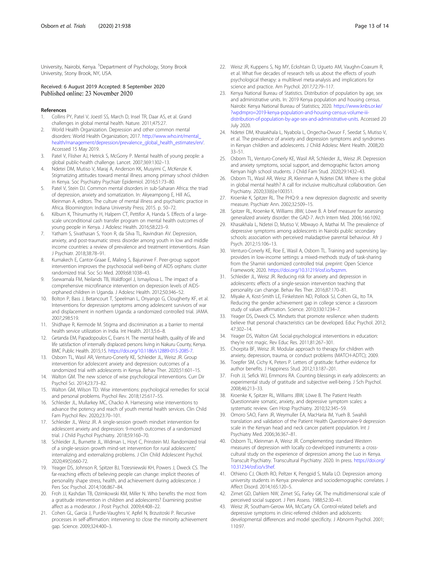<span id="page-12-0"></span>University, Nairobi, Kenya. <sup>5</sup>Department of Psychology, Stony Brook University, Stony Brook, NY, USA.

#### Received: 6 August 2019 Accepted: 8 September 2020 Published online: 23 November 2020

#### References

- 1. Collins PY, Patel V, Joestl SS, March D, Insel TR, Daar AS, et al. Grand challenges in global mental health. Nature. 2011;475:27.
- 2. World Health Organization. Depression and other common mental disorders: World Health Organization; 2017. [http://www.who.int/mental\\_](http://www.who.int/mental_health/management/depression/prevalence_global_health_estimates/en/) [health/management/depression/prevalence\\_global\\_health\\_estimates/en/.](http://www.who.int/mental_health/management/depression/prevalence_global_health_estimates/en/) Accessed 15 May 2019.
- Patel V, Flisher AJ, Hetrick S, McGorry P. Mental health of young people: a global public-health challenge. Lancet. 2007;369:1302–13.
- 4. Ndetei DM, Mutiso V, Maraj A, Anderson KK, Musyimi C, McKenzie K. Stigmatizing attitudes toward mental illness among primary school children in Kenya. Soc Psychiatry Psychiatr Epidemiol. 2016;51:73–80.
- Patel V, Stein DJ. Common mental disorders in sub-Saharan Africa: the triad of depression, anxiety and somatization. In: Akyeampong E, Hill AG, Kleinman A, editors. The culture of mental illness and psychiatric practice in Africa. Bloomington: Indiana University Press; 2015. p. 50–72.
- 6. Kilburn K, Thirumurthy H, Halpern CT, Pettifor A, Handa S. Effects of a largescale unconditional cash transfer program on mental health outcomes of young people in Kenya. J Adolesc Health. 2016;58:223–9.
- Yatham S, Sivathasan S, Yoon R, da Silva TL, Ravindran AV. Depression, anxiety, and post-traumatic stress disorder among youth in low and middle income countries: a review of prevalence and treatment interventions. Asian J Psychiatr. 2018;38:78–91.
- 8. Kumakech E, Cantor-Graae E, Maling S, Bajunirwe F. Peer-group support intervention improves the psychosocial well-being of AIDS orphans: cluster randomized trial. Soc Sci Med. 2009;68:1038–43.
- Ssewamala FM, Neilands TB, Waldfogel J, Ismayilova L. The impact of a comprehensive microfinance intervention on depression levels of AIDSorphaned children in Uganda. J Adolesc Health. 2012;50:346–52.
- 10. Bolton P, Bass J, Betancourt T, Speelman L, Onyango G, Clougherty KF, et al. Interventions for depression symptoms among adolescent survivors of war and displacement in northern Uganda: a randomized controlled trial. JAMA. 2007;298:519.
- 11. Shidhaye R, Kermode M. Stigma and discrimination as a barrier to mental health service utilization in India. Int Health. 2013;5:6–8.
- 12. Getanda EM, Papadopoulos C, Evans H. The mental health, quality of life and life satisfaction of internally displaced persons living in Nakuru County, Kenya. BMC Public Health. 2015;15. [https://doi.org/10.1186/s12889-015-2085-7.](https://doi.org/10.1186/s12889-015-2085-7)
- 13. Osborn TL, Wasil AR, Venturo-Conerly KE, Schleider JL, Weisz JR. Group intervention for adolescent anxiety and depression: outcomes of a randomized trial with adolescents in Kenya. Behav Ther. 2020;51:601–15.
- Walton GM. The new science of wise psychological interventions. Curr Dir Psychol Sci. 2014;23:73–82.
- 15. Walton GM, Wilson TD. Wise interventions: psychological remedies for social and personal problems. Psychol Rev. 2018;125:617–55.
- 16. Schleider JL, Mullarkey MC, Chacko A. Harnessing wise interventions to advance the potency and reach of youth mental health services. Clin Child Fam Psychol Rev. 2020;23:70–101.
- 17. Schleider JL, Weisz JR. A single-session growth mindset intervention for adolescent anxiety and depression: 9-month outcomes of a randomized trial. J Child Psychol Psychiatry. 2018;59:160–70.
- 18. Schleider JL, Burnette JL, Widman L, Hoyt C, Prinstein MJ. Randomized trial of a single-session growth mind-set intervention for rural adolescents' internalizing and externalizing problems. J Clin Child Adolescent Psychol. 2020;49(5):660-72.
- 19. Yeager DS, Johnson R, Spitzer BJ, Trzesniewski KH, Powers J, Dweck CS. The far-reaching effects of believing people can change: implicit theories of personality shape stress, health, and achievement during adolescence. J Pers Soc Psychol. 2014;106:867–84.
- 20. Froh JJ, Kashdan TB, Ozimkowski KM, Miller N. Who benefits the most from a gratitude intervention in children and adolescents? Examining positive affect as a moderator. J Posit Psychol. 2009;4:408–22.
- 21. Cohen GL, Garcia J, Purdie-Vaughns V, Apfel N, Brzustoski P. Recursive processes in self-affirmation: intervening to close the minority achievement gap. Science. 2009;324:400–3.
- psychological therapy: a multilevel meta-analysis and implications for science and practice. Am Psychol. 2017;72:79–117. 23. Kenya National Bureau of Statistics. Distribution of population by age, sex
- and administrative units. In: 2019 Kenya population and housing census. Nairobi: Kenya National Bureau of Statistics; 2020. [https://www.knbs.or.ke/](https://www.knbs.or.ke/?wpdmpro=2019-kenya-population-and-housing-census-volume-iii-distribution-of-population-by-age-sex-and-administrative-units) [?wpdmpro=2019-kenya-population-and-housing-census-volume-iii](https://www.knbs.or.ke/?wpdmpro=2019-kenya-population-and-housing-census-volume-iii-distribution-of-population-by-age-sex-and-administrative-units)[distribution-of-population-by-age-sex-and-administrative-units](https://www.knbs.or.ke/?wpdmpro=2019-kenya-population-and-housing-census-volume-iii-distribution-of-population-by-age-sex-and-administrative-units). Accessed 20 July 2020.
- 24. Ndetei DM, Khasakhala L, Nyabola L, Ongecha-Owuor F, Seedat S, Mutiso V, et al. The prevalence of anxiety and depression symptoms and syndromes in Kenyan children and adolescents. J Child Adolesc Ment Health. 2008;20: 33–51.
- 25. Osborn TL, Venturo-Conerly KE, Wasil AR, Schleider JL, Weisz JR. Depression and anxiety symptoms, social support, and demographic factors among Kenyan high school students. J Child Fam Stud. 2020;29:1432–43.
- 26. Osborn TL, Wasil AR, Weisz JR, Kleinman A, Ndetei DM. Where is the global in global mental health? A call for inclusive multicultural collaboration. Gen Psychiatry. 2020;33(6):e100351.
- 27. Kroenke K, Spitzer RL. The PHQ-9: a new depression diagnostic and severity measure. Psychiatr Ann. 2002;32:509–15.
- 28. Spitzer RL, Kroenke K, Williams JBW, Löwe B. A brief measure for assessing generalized anxiety disorder: the GAD-7. Arch Intern Med. 2006;166:1092.
- Khasakhala L, Ndetei D, Mutiso V, Mbwayo A, Mathai M. The prevalence of depressive symptoms among adolescents in Nairobi public secondary schools: association with perceived maladaptive parental behaviour. Afr J Psych. 2012;15:106–13.
- 30. Venturo-Conerly KE, Roe E, Wasil A, Osborn TL. Training and supervising layproviders in low-income settings: a mixed-methods study of task-sharing from the Shamiri randomized controlled trial. preprint: Open Science Framework; 2020. [https://doi.org/10.31219/osf.io/bqznm.](https://doi.org/10.31219/osf.io/bqznm)
- 31. Schleider JL, Weisz JR. Reducing risk for anxiety and depression in adolescents: effects of a single-session intervention teaching that personality can change. Behav Res Ther. 2016;87:170–81.
- 32. Miyake A, Kost-Smith LE, Finkelstein ND, Pollock SJ, Cohen GL, Ito TA. Reducing the gender achievement gap in college science: a classroom study of values affirmation. Science. 2010;330:1234–7.
- 33. Yeager DS, Dweck CS. Mindsets that promote resilience: when students believe that personal characteristics can be developed. Educ Psychol. 2012; 47:302–14.
- 34. Yeager DS, Walton GM. Social-psychological interventions in education: they're not magic. Rev Educ Res. 2011;81:267–301.
- 35. Chorpita BF, Weisz JR. Modular approach to therapy for children with anxiety, depression, trauma, or conduct problems (MATCH-ADTC); 2009.
- 36. Toepfer SM, Cichy K, Peters P. Letters of gratitude: further evidence for author benefits. J Happiness Stud. 2012;13:187–201.
- 37. Froh JJ, Sefick WJ, Emmons RA. Counting blessings in early adolescents: an experimental study of gratitude and subjective well-being. J Sch Psychol. 2008;46:213–33.
- 38. Kroenke K, Spitzer RL, Williams JBW, Löwe B. The Patient Health Questionnaire somatic, anxiety, and depressive symptom scales: a systematic review. Gen Hosp Psychiatry. 2010;32:345–59.
- 39. Omoro SAO, Fann JR, Weymuller EA, MacHaria IM, Yueh B. Swahili translation and validation of the Patient Health Questionnaire-9 depression scale in the Kenyan head and neck cancer patient population. Int J Psychiatry Med. 2006;36:367–81.
- 40. Osborn TL, Kleinman A, Weisz JR. Complementing standard Western measures of depression with locally co-developed instruments: a crosscultural study on the experience of depression among the Luo in Kenya. Transcult Psychiatry. Transcultural Psychiatry: 2020. In press. [https://doi.org/](https://doi.org/10.31234/osf.io/v3hef) [10.31234/osf.io/v3hef](https://doi.org/10.31234/osf.io/v3hef).
- 41. Othieno CJ, Okoth RO, Peltzer K, Pengpid S, Malla LO. Depression among university students in Kenya: prevalence and sociodemographic correlates. J Affect Disord. 2014;165:120–5.
- 42. Zimet GD, Dahlem NW, Zimet SG, Farley GK. The multidimensional scale of perceived social support. J Pers Assess. 1988;52:30–41.
- 43. Weisz JR, Southam-Gerow MA, McCarty CA. Control-related beliefs and depressive symptoms in clinic-referred children and adolscents: developmental differences and model specificity. J Abnorm Psychol. 2001; 110:97.